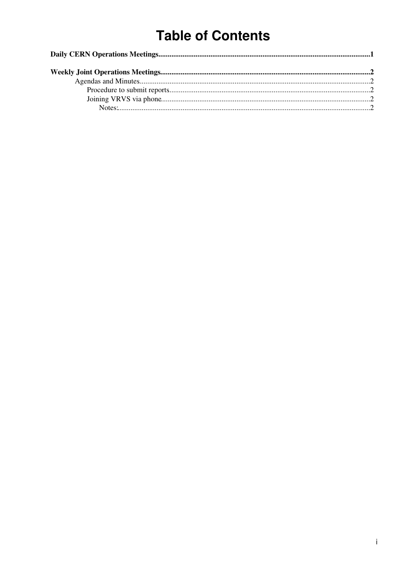# **Table of Contents**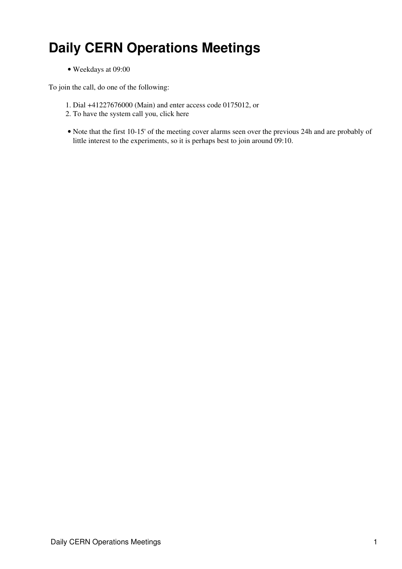## <span id="page-1-0"></span>**Daily CERN Operations Meetings**

• Weekdays at 09:00

To join the call, do one of the following:

- 1. Dial +41227676000 (Main) and enter access code 0175012, or
- 2. To have the system call you, click [here](https://audioconf.cern.ch/call/0175012)
- Note that the first 10-15' of the meeting cover alarms seen over the previous 24h and are probably of little interest to the experiments, so it is perhaps best to join around 09:10.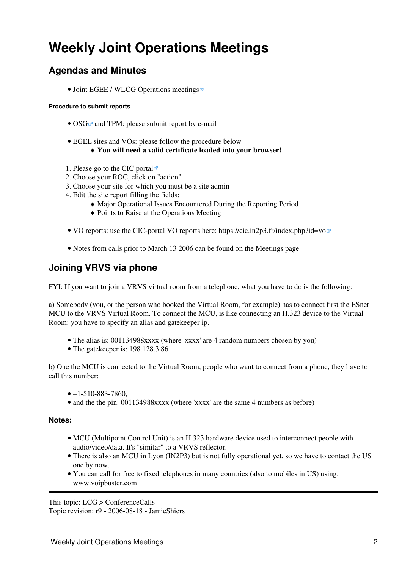## <span id="page-2-0"></span>**Weekly Joint Operations Meetings**

### <span id="page-2-1"></span>**Agendas and Minutes**

• [Joint EGEE / WLCG Operations meetings](http://agenda.cern.ch/displayLevel.php?fid=258)

#### <span id="page-2-2"></span>**Procedure to submit reports**

- [OSG](http://www.opensciencegrid.org/)<sup> $\alpha$ </sup> and TPM: please submit report by e-mail
- EGEE sites and VOs: please follow the procedure below
	- ♦ **You will need a valid certificate loaded into your browser!**
- 1. Please go to the [CIC portal](https://cic.in2p3.fr/index.php?id=rc&subid=rc_report&js_status=2)  $\Phi$
- 2. Choose your ROC, click on "action"
- 3. Choose your site for which you must be a site admin
- Edit the site report filling the fields: 4.
	- ♦ Major Operational Issues Encountered During the Reporting Period
	- ♦ Points to Raise at the Operations Meeting
- VO reports: use the CIC-portal VO reports here: <https://cic.in2p3.fr/index.php?id=vo>
- Notes from calls prior to March 13 2006 can be found on the [Meetings](https://twiki.cern.ch/twiki/bin/view/LCG/ServiceChallengeMeetings#WeeklyPhonecons) page

### <span id="page-2-3"></span>**Joining VRVS via phone**

FYI: If you want to join a VRVS virtual room from a telephone, what you have to do is the following:

a) Somebody (you, or the person who booked the Virtual Room, for example) has to connect first the ESnet MCU to the VRVS Virtual Room. To connect the MCU, is like connecting an H.323 device to the Virtual Room: you have to specify an alias and gatekeeper ip.

- The alias is: 001134988xxxx (where 'xxxx' are 4 random numbers chosen by you)
- The gatekeeper is: 198.128.3.86

b) One the MCU is connected to the Virtual Room, people who want to connect from a phone, they have to call this number:

- $\bullet$  +1-510-883-7860,
- and the the pin: 001134988xxxx (where 'xxxx' are the same 4 numbers as before)

#### <span id="page-2-4"></span>**Notes:**

- MCU (Multipoint Control Unit) is an H.323 hardware device used to interconnect people with audio/video/data. It's "similar" to a VRVS reflector.
- There is also an MCU in Lyon ([IN2P3\)](https://twiki.cern.ch/twiki/bin/view/LCG/IN2P3) but is not fully operational yet, so we have to contact the US one by now.
- You can call for free to fixed telephones in many countries (also to mobiles in US) using: www.voipbuster.com

This topic: LCG > ConferenceCalls

Topic revision: r9 - 2006-08-18 - JamieShiers